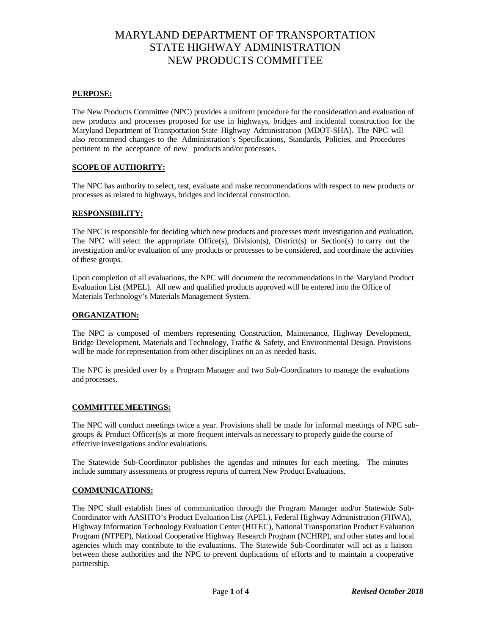#### **PURPOSE:**

The New Products Committee (NPC) provides a uniform procedure for the consideration and evaluation of new products and processes proposed for use in highways, bridges and incidental construction for the Maryland Department of Transportation State Highway Administration (MDOT-SHA). The NPC will also recommend changes to the Administration's Specifications, Standards, Policies, and Procedures pertinent to the acceptance of new products and/or processes.

## **SCOPE OF AUTHORITY:**

The NPC has authority to select, test, evaluate and make recommendations with respect to new products or processes as related to highways, bridges and incidental construction.

#### **RESPONSIBILITY:**

The NPC is responsible for deciding which new products and processes merit investigation and evaluation. The NPC will select the appropriate Office(s), Division(s), District(s) or Section(s) to carry out the investigation and/or evaluation of any products or processes to be considered, and coordinate the activities of these groups.

Upon completion of all evaluations, the NPC will document the recommendations in the Maryland Product Evaluation List (MPEL). All new and qualified products approved will be entered into the Office of Materials Technology's Materials Management System.

#### **ORGANIZATION:**

The NPC is composed of members representing Construction, Maintenance, Highway Development, Bridge Development, Materials and Technology, Traffic & Safety, and Environmental Design. Provisions will be made for representation from other disciplines on an as needed basis.

The NPC is presided over by a Program Manager and two Sub-Coordinators to manage the evaluations and processes.

#### **COMMITTEEMEETINGS:**

The NPC will conduct meetings twice a year. Provisions shall be made for informal meetings of NPC subgroups & Product Officer(s)s at more frequent intervals as necessary to properly guide the course of effective investigations and/or evaluations.

The Statewide Sub-Coordinator publishes the agendas and minutes for each meeting. The minutes include summary assessments or progress reports of current New Product Evaluations.

#### **COMMUNICATIONS:**

The NPC shall establish lines of communication through the Program Manager and/or Statewide Sub-Coordinator with AASHTO's Product Evaluation List (APEL), Federal Highway Administration (FHWA), Highway Information Technology Evaluation Center (HITEC), National Transportation Product Evaluation Program (NTPEP), National Cooperative Highway Research Program (NCHRP), and other states and local agencies which may contribute to the evaluations. The Statewide Sub-Coordinator will act as a liaison between these authorities and the NPC to prevent duplications of efforts and to maintain a cooperative partnership.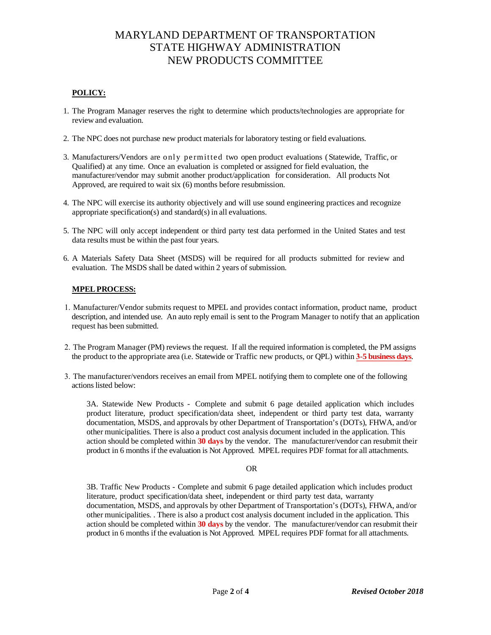# **POLICY:**

- 1. The Program Manager reserves the right to determine which products/technologies are appropriate for review and evaluation.
- 2. The NPC does not purchase new product materials for laboratory testing or field evaluations.
- 3. Manufacturers/Vendors are only permitted two open product evaluations (Statewide, Traffic, or Qualified) at any time. Once an evaluation is completed or assigned for field evaluation, the manufacturer/vendor may submit another product/application for consideration. All products Not Approved, are required to wait six (6) months before resubmission.
- 4. The NPC will exercise its authority objectively and will use sound engineering practices and recognize appropriate specification(s) and standard(s) in all evaluations.
- 5. The NPC will only accept independent or third party test data performed in the United States and test data results must be within the past four years.
- 6. A Materials Safety Data Sheet (MSDS) will be required for all products submitted for review and evaluation. The MSDS shall be dated within 2 years of submission.

## **MPELPROCESS:**

- 1. Manufacturer/Vendor submits request to MPEL and provides contact information, product name, product description, and intended use. An auto reply email is sent to the Program Manager to notify that an application request has been submitted.
- 2. The Program Manager (PM) reviews the request. If all the required information is completed, the PM assigns the product to the appropriate area (i.e. Statewide or Traffic new products, or QPL) within **3-5 business days**.
- 3. The manufacturer/vendors receives an email from MPEL notifying them to complete one of the following actions listed below:

3A. Statewide New Products - Complete and submit 6 page detailed application which includes product literature, product specification/data sheet, independent or third party test data, warranty documentation, MSDS, and approvals by other Department of Transportation's (DOTs), FHWA, and/or other municipalities. There is also a product cost analysis document included in the application. This action should be completed within **30 days** by the vendor. The manufacturer/vendor can resubmit their product in 6 months if the evaluation is Not Approved. MPEL requires PDF format for all attachments.

#### OR

3B. Traffic New Products - Complete and submit 6 page detailed application which includes product literature, product specification/data sheet, independent or third party test data, warranty documentation, MSDS, and approvals by other Department of Transportation's (DOTs), FHWA, and/or other municipalities. . There is also a product cost analysis document included in the application. This action should be completed within **30 days** by the vendor. The manufacturer/vendor can resubmit their product in 6 months if the evaluation is Not Approved. MPEL requires PDF format for all attachments.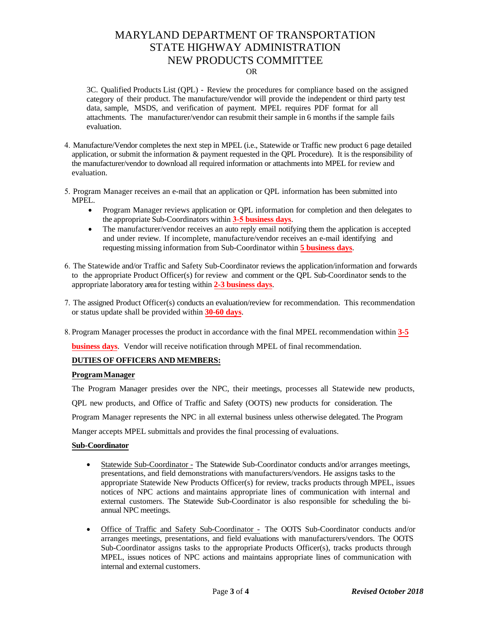#### OR

3C. Qualified Products List (QPL) - Review the procedures for compliance based on the assigned category of their product. The manufacture/vendor will provide the independent or third party test data, sample, MSDS, and verification of payment. MPEL requires PDF format for all attachments. The manufacturer/vendor can resubmit their sample in 6 months if the sample fails evaluation.

- 4. Manufacture/Vendor completes the next step in MPEL (i.e., Statewide or Traffic new product 6 page detailed application, or submit the information & payment requested in the QPL Procedure). It is the responsibility of the manufacturer/vendor to download all required information or attachments into MPEL for review and evaluation.
- 5. Program Manager receives an e-mail that an application or QPL information has been submitted into MPEL.
	- Program Manager reviews application or QPL information for completion and then delegates to the appropriate Sub-Coordinators within **3-5 business days**.
	- The manufacturer/vendor receives an auto reply email notifying them the application is accepted and under review. If incomplete, manufacture/vendor receives an e-mail identifying and requesting missing information from Sub-Coordinator within **5 business days**.
- 6. The Statewide and/or Traffic and Safety Sub-Coordinator reviews the application/information and forwards to the appropriate Product Officer(s) for review and comment or the QPL Sub-Coordinator sends to the appropriate laboratory area for testing within **2-3 business days**.
- 7. The assigned Product Officer(s) conducts an evaluation/review for recommendation. This recommendation or status update shall be provided within **30-60 days**.
- 8. Program Manager processes the product in accordance with the final MPEL recommendation within **3-5**

**business days**. Vendor will receive notification through MPEL of final recommendation.

#### **DUTIES OF OFFICERS AND MEMBERS:**

#### **Program Manager**

The Program Manager presides over the NPC, their meetings, processes all Statewide new products, QPL new products, and Office of Traffic and Safety (OOTS) new products for consideration. The Program Manager represents the NPC in all external business unless otherwise delegated. The Program Manger accepts MPEL submittals and provides the final processing of evaluations.

#### **Sub-Coordinator**

- Statewide Sub-Coordinator The Statewide Sub-Coordinator conducts and/or arranges meetings, presentations, and field demonstrations with manufacturers/vendors. He assigns tasks to the appropriate Statewide New Products Officer(s) for review, tracks products through MPEL, issues notices of NPC actions and maintains appropriate lines of communication with internal and external customers. The Statewide Sub-Coordinator is also responsible for scheduling the biannual NPC meetings.
- Office of Traffic and Safety Sub-Coordinator The OOTS Sub-Coordinator conducts and/or arranges meetings, presentations, and field evaluations with manufacturers/vendors. The OOTS Sub-Coordinator assigns tasks to the appropriate Products Officer(s), tracks products through MPEL, issues notices of NPC actions and maintains appropriate lines of communication with internal and external customers.